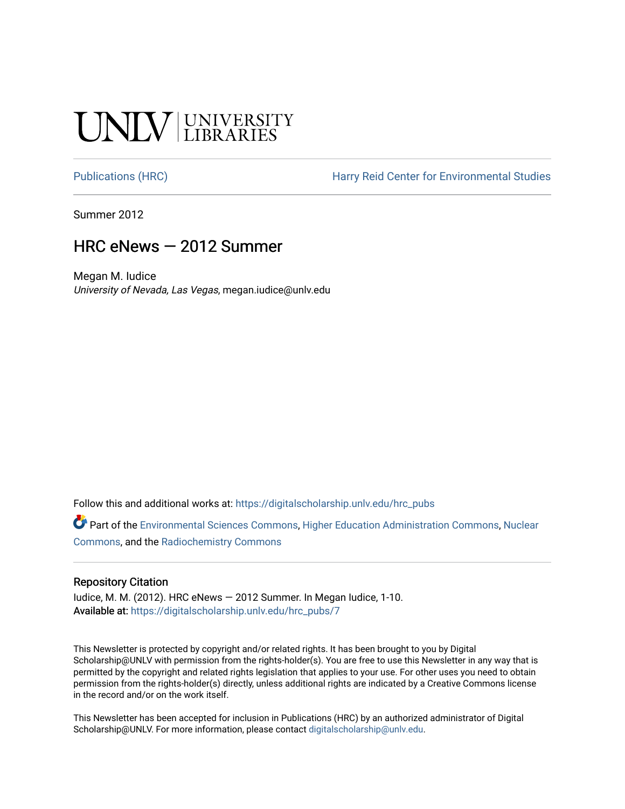# **NIV UNIVERSITY**

[Publications \(HRC\)](https://digitalscholarship.unlv.edu/hrc_pubs) The Harry Reid Center for Environmental Studies

Summer 2012

## HRC eNews — 2012 Summer

Megan M. Iudice University of Nevada, Las Vegas, megan.iudice@unlv.edu

Follow this and additional works at: [https://digitalscholarship.unlv.edu/hrc\\_pubs](https://digitalscholarship.unlv.edu/hrc_pubs?utm_source=digitalscholarship.unlv.edu%2Fhrc_pubs%2F7&utm_medium=PDF&utm_campaign=PDFCoverPages)

Part of the [Environmental Sciences Commons](http://network.bepress.com/hgg/discipline/167?utm_source=digitalscholarship.unlv.edu%2Fhrc_pubs%2F7&utm_medium=PDF&utm_campaign=PDFCoverPages), [Higher Education Administration Commons](http://network.bepress.com/hgg/discipline/791?utm_source=digitalscholarship.unlv.edu%2Fhrc_pubs%2F7&utm_medium=PDF&utm_campaign=PDFCoverPages), [Nuclear](http://network.bepress.com/hgg/discipline/203?utm_source=digitalscholarship.unlv.edu%2Fhrc_pubs%2F7&utm_medium=PDF&utm_campaign=PDFCoverPages)  [Commons](http://network.bepress.com/hgg/discipline/203?utm_source=digitalscholarship.unlv.edu%2Fhrc_pubs%2F7&utm_medium=PDF&utm_campaign=PDFCoverPages), and the [Radiochemistry Commons](http://network.bepress.com/hgg/discipline/1196?utm_source=digitalscholarship.unlv.edu%2Fhrc_pubs%2F7&utm_medium=PDF&utm_campaign=PDFCoverPages) 

#### Repository Citation

Iudice, M. M. (2012). HRC eNews — 2012 Summer. In Megan Iudice, 1-10. Available at: [https://digitalscholarship.unlv.edu/hrc\\_pubs/7](https://digitalscholarship.unlv.edu/hrc_pubs/7)

This Newsletter is protected by copyright and/or related rights. It has been brought to you by Digital Scholarship@UNLV with permission from the rights-holder(s). You are free to use this Newsletter in any way that is permitted by the copyright and related rights legislation that applies to your use. For other uses you need to obtain permission from the rights-holder(s) directly, unless additional rights are indicated by a Creative Commons license in the record and/or on the work itself.

This Newsletter has been accepted for inclusion in Publications (HRC) by an authorized administrator of Digital Scholarship@UNLV. For more information, please contact [digitalscholarship@unlv.edu.](mailto:digitalscholarship@unlv.edu)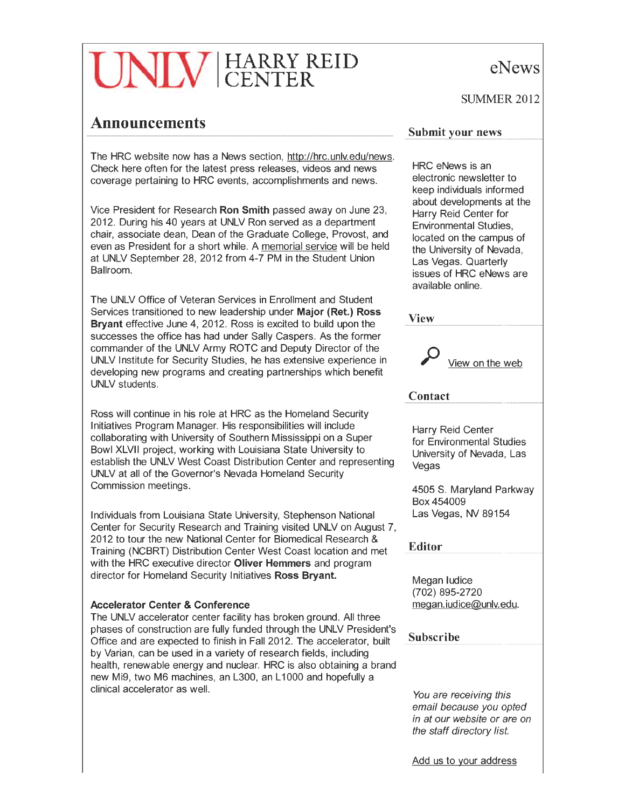# HARRY REID CENTER

### **Announcements**

The HRC website now has a News section, http://hrc.unlv.edu/news. Check here often for the latest press releases, videos and news coverage pertaining to HRC events, accomplishments and news.

Vice President for Research Ron Smith passed away on June 23, 2012. During his 40 years at UNLV Ron served as a department chair, associate dean, Dean of the Graduate College, Provost, and even as President for a short while. A memorial service will be held at UNLV September 28, 2012 from 4-7 PM in the Student Union Ballroom.

The UNLV Office of Veteran Services in Enrollment and Student Services transitioned to new leadership under Major (Ret.) Ross Bryant effective June 4, 2012. Ross is excited to build upon the successes the office has had under Sally Caspers. As the former commander of the UNLV Army ROTC and Deputy Director of the UNLV Institute for Security Studies, he has extensive experience in developing new programs and creating partnerships which benefit UNLV students.

Ross will continue in his role at HRC as the Homeland Security Initiatives Program Manager. His responsibilities will include collaborating with University of Southern Mississippi on a Super Bowl XLVII project, working with Louisiana State University to establish the UNLV West Coast Distribution Center and representing UNLV at all of the Governor's Nevada Homeland Security Commission meetings.

Individuals from Louisiana State University, Stephenson National Center for Security Research and Training visited UNLV on August 7, 2012 to tour the new National Center for Biomedical Research & Training (NCBRT) Distribution Center West Coast location and met with the HRC executive director Oliver Hemmers and program director for Homeland Security Initiatives Ross Bryant.

#### Accelerator Center & Conference

The UNLV accelerator center facility has broken ground. All three phases of construction are fully funded through the UNLV President's Office and are expected to finish in Fall 2012. The accelerator, built by Varian, can be used in a variety of research fields, including health, renewable energy and nuclear. HRC is also obtaining a brand new Mi9, two M6 machines, an L300, an L1000 and hopefully a clinical accelerator as well.

eNews

SUMMER<sub>2012</sub>

#### **Submit your news**

HRC eNews is an electronic newsletter to keep individuals informed about developments at the Harry Reid Center for Environmental Studies, located on the campus of the University of Nevada, Las Vegas. Quarterly issues of HRC eNews are available online.

View



#### **Contact**

Harry Reid Center for Environmental Studies University of Nevada, Las Vegas

4505 S. Maryland Parkway Box 454009 Las Vegas, NV 89154

Editor

Megan ludice (702) 895-2720 megan. iudice@unly.edu.

#### Subscribe

You are receiving this email because you opted in at our website or are on the staff directory list.

Add us to your address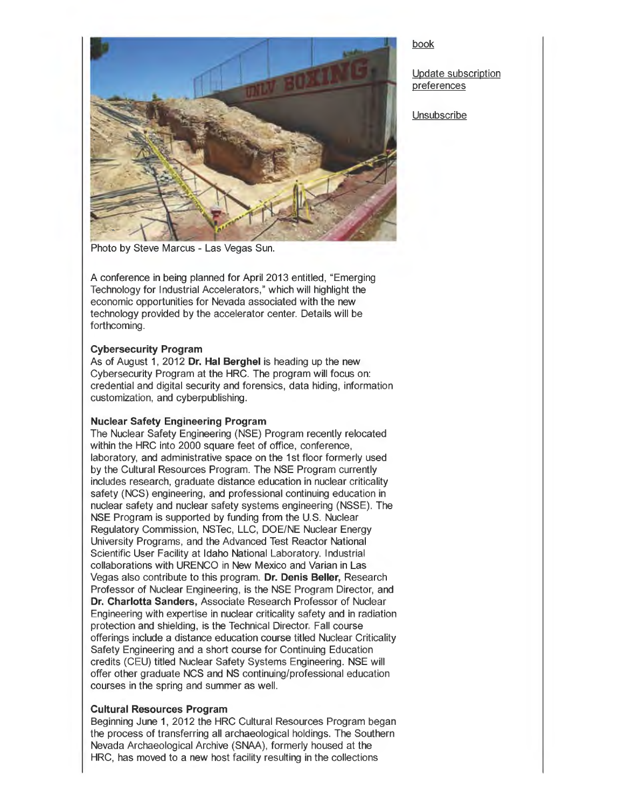

Photo by Steve Marcus - Las Vegas Sun.

A conference in being planned for April 2013 entitled, "Emerging Technology for Industrial Accelerators," which will highlight the economic opportunities for Nevada associated with the new technology provided by the accelerator center. Details will be forthcoming.

#### **Cybersecurity Program**

As of August 1, 2012 **Dr. Hal Berghel** is heading up the new Cybersecurity Program at the HRC. The program will focus on: credential and digital security and forensics, data hiding, information customization, and cyberpublishing .

#### **Nuclear Safety Engineering Program**

The Nuclear Safety Engineering (NSE) Program recently relocated within the HRC into 2000 square feet of office, conference, laboratory, and administrative space on the 1st floor formerly used by the Cultural Resources Program. The NSE Program currently includes research, graduate distance education in nuclear criticality safety (NCS) engineering, and professional continuing education in nuclear safety and nuclear safety systems engineering (NSSE). The NSE Program is supported by funding from the U.S. Nuclear Regulatory Commission, NSTec, LLC, DOE/NE Nuclear Energy University Programs, and the Advanced Test Reactor National Scientific User Facility at Idaho National Laboratory. Industrial collaborations with URENCO in New Mexico and Varian in Las Vegas also contribute to this program. **Dr. Denis Beller,** Research Professor of Nuclear Engineering, is the NSE Program Director, and **Dr. Charlotta Sanders,** Associate Research Professor of Nuclear Engineering with expertise in nuclear criticality safety and in radiation protection and shielding, is the Technical Director. Fall course offerings include a distance education course titled Nuclear Criticality Safety Engineering and a short course for Continuing Education credits (CEU) titled Nuclear Safety Systems Engineering. NSE will offer other graduate NCS and NS continuing/professional education courses in the spring and summer as well.

#### **Cultural Resources Program**

Beginning June 1, 2012 the HRC Cultural Resources Program began the process of transferring all archaeological holdings. The Southern Nevada Archaeological Archive (SNAA), formerly housed at the HRC, has moved to a new host facility resulting in the collections

#### book

Update subscription preferences

**Unsubscribe**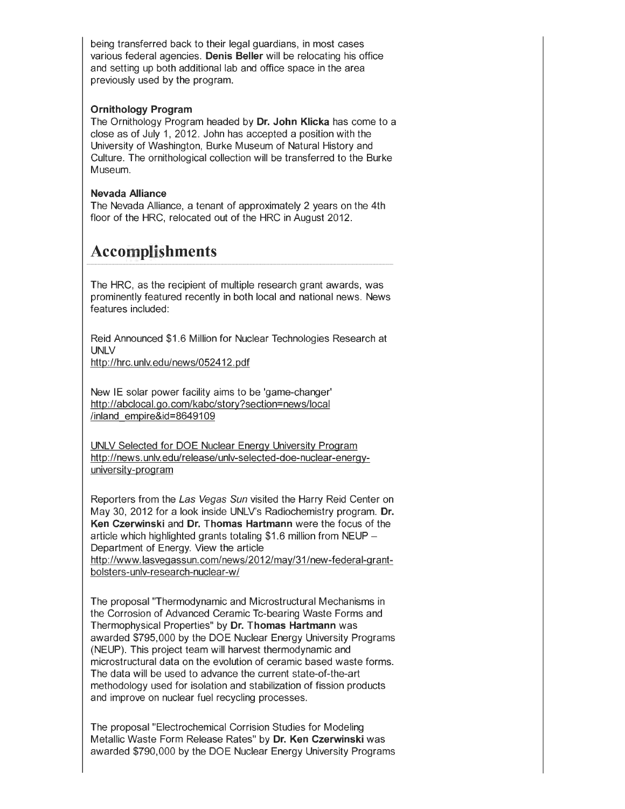being transferred back to their legal guardians, in most cases various federal agencies. **Denis Beller** will be relocating his office and setting up both additional lab and office space in the area previously used by the program.

#### **Ornithology Program**

The Ornithology Program headed by **Dr. John Klicka** has come to a close as of July 1, 2012. John has accepted a position with the University of Washington, Burke Museum of Natural History and Culture. The ornithological collection will be transferred to the Burke Museum.

#### **Nevada Alliance**

The Nevada Alliance, a tenant of approximately 2 years on the 4th floor of the HRC, relocated out of the HRC in August 2012.

# **Accomplishments**

The HRC, as the recipient of multiple research grant awards, was prominently featured recently in both local and national news. News features included:

Reid Announced \$1.6 Million for Nuclear Technologies Research at UNLV

http://hrc. unlv.edu/news/052412.pdf

New IE solar power facility aims to be 'game-changer' http://abclocal.go.com/kabc/story?section=news/local /inland empire&id=8649109

UNLV Selected for DOE Nuclear Energy University Program http://news.unlv.edu/release/unlv-selected-doe-nuclear-energyuniversity-program

Reporters from the Las Vegas Sun visited the Harry Reid Center on May 30, 2012 for a look inside UNLV's Radiochemistry program. **Dr. Ken Czerwinski** and **Dr. Thomas Hartmann** were the focus of the article which highlighted grants totaling \$1.6 million from NEUP-Department of Energy. View the article http://www.lasvegassun.com/news/2012/may/31/new-federal-grantbolsters-unlv-research-nuclear-w/

The proposal "Thermodynamic and Microstructural Mechanisms in the Corrosion of Advanced Ceramic Tc-bearing Waste Forms and Thermophysical Properties" by **Dr. Thomas Hartmann** was awarded \$795,000 by the DOE Nuclear Energy University Programs (NEUP). This project team will harvest thermodynamic and microstructural data on the evolution of ceramic based waste forms. The data will be used to advance the current state-of-the-art methodology used for isolation and stabilization of fission products and improve on nuclear fuel recycling processes.

The proposal "Electrochemical Corrision Studies for Modeling Metallic Waste Form Release Rates" by **Dr. Ken Czerwinski** was awarded \$790,000 by the DOE Nuclear Energy University Programs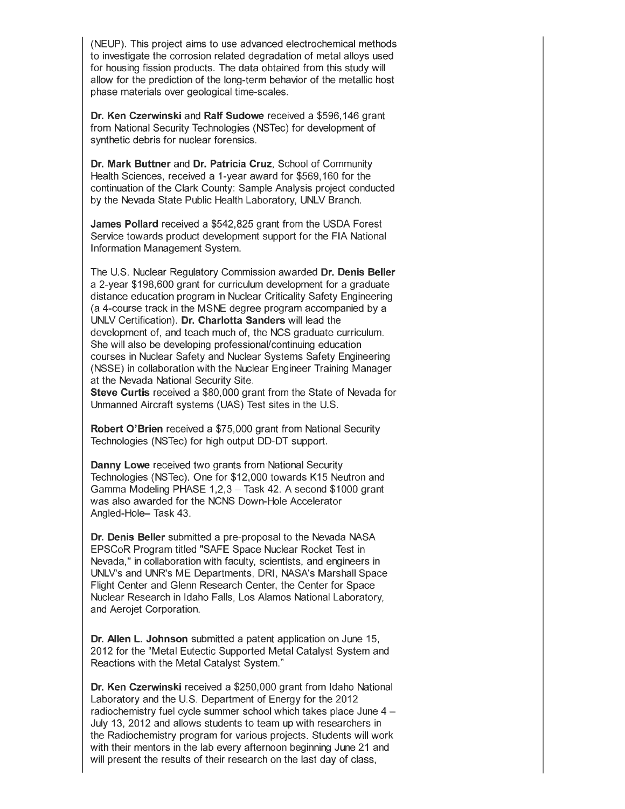(NEUP). This project aims to use advanced electrochemical methods to investigate the corrosion related degradation of metal alloys used for housing fission products. The data obtained from this study will allow for the prediction of the long-term behavior of the metallic host phase materials over geological time-scales.

**Dr. Ken Czerwinski** and **Ralf Sudowe** received a \$596,146 grant from National Security Technologies (NSTec) for development of synthetic debris for nuclear forensics.

**Dr. Mark Buttner** and **Dr. Patricia Cruz,** School of Community Health Sciences, received a 1-year award for \$569,160 for the continuation of the Clark County: Sample Analysis project conducted by the Nevada State Public Health Laboratory, UNLV Branch.

**James Pollard** received a \$542,825 grant from the USDA Forest Service towards product development support for the FIA National Information Management System.

The U.S. Nuclear Regulatory Commission awarded **Dr. Denis Beller**  a 2-year \$198,600 grant for curriculum development for a graduate distance education program in Nuclear Criticality Safety Engineering (a 4-course track in the MSNE degree program accompanied by a UNLV Certification). **Dr. Charlotta Sanders** will lead the development of, and teach much of, the NCS graduate curriculum. She will also be developing professional/continuing education courses in Nuclear Safety and Nuclear Systems Safety Engineering (NSSE) in collaboration with the Nuclear Engineer Training Manager at the Nevada National Security Site.

**Steve Curtis** received a \$80,000 grant from the State of Nevada for Unmanned Aircraft systems (UAS) Test sites in the U.S.

**Robert O'Brien** received a \$75,000 grant from National Security Technologies (NSTec) for high output DD-DT support.

**Danny Lowe** received two grants from National Security Technologies (NSTec). One for \$12,000 towards K15 Neutron and Gamma Modeling PHASE 1,2,3 - Task 42. A second \$1000 grant was also awarded for the NCNS Down-Hole Accelerator Angled-Hole- Task 43.

**Dr. Denis Beller** submitted a pre-proposal to the Nevada NASA EPSCoR Program titled "SAFE Space Nuclear Rocket Test in Nevada," in collaboration with faculty, scientists, and engineers in UNLV's and UNR's ME Departments, DRI, NASA's Marshall Space Flight Center and Glenn Research Center, the Center for Space Nuclear Research in Idaho Falls, Los Alamos National Laboratory, and Aerojet Corporation.

**Dr. Allen L. Johnson** submitted a patent application on June 15, 2012 for the "Metal Eutectic Supported Metal Catalyst System and Reactions with the Metal Catalyst System."

**Dr. Ken Czerwinski** received a \$250,000 grant from Idaho National Laboratory and the U.S. Department of Energy for the 2012 radiochemistry fuel cycle summer school which takes place June 4- July 13, 2012 and allows students to team up with researchers in the Radiochemistry program for various projects. Students will work with their mentors in the lab every afternoon beginning June 21 and will present the results of their research on the last day of class,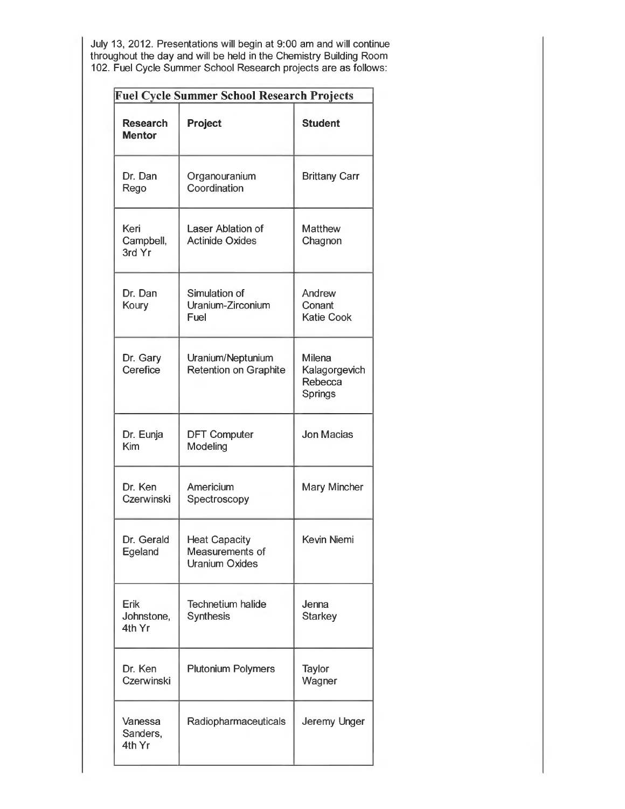July 13, 2012. Presentations will begin at 9:00 am and will continue throughout the day and will be held in the Chemistry Building Room 102. Fuel Cycle Summer School Research projects are as follows:

| Fuel Cycle Summer School Research Projects |                                                                  |                                               |
|--------------------------------------------|------------------------------------------------------------------|-----------------------------------------------|
| <b>Research</b><br><b>Mentor</b>           | Project                                                          | <b>Student</b>                                |
| Dr. Dan<br>Rego                            | Organouranium<br>Coordination                                    | <b>Brittany Carr</b>                          |
| Keri<br>Campbell,<br>3rd Yr                | Laser Ablation of<br><b>Actinide Oxides</b>                      | <b>Matthew</b><br>Chagnon                     |
| Dr. Dan<br>Koury                           | Simulation of<br>Uranium-Zirconium<br>Fuel                       | Andrew<br>Conant<br><b>Katie Cook</b>         |
| Dr. Gary<br>Cerefice                       | Uranium/Neptunium<br><b>Retention on Graphite</b>                | Milena<br>Kalagorgevich<br>Rebecca<br>Springs |
| Dr. Eunja<br>Kim                           | <b>DFT Computer</b><br>Modeling                                  | Jon Macias                                    |
| Dr. Ken<br>Czerwinski                      | Americium<br>Spectroscopy                                        | Mary Mincher                                  |
| Dr. Gerald<br>Egeland                      | <b>Heat Capacity</b><br>Measurements of<br><b>Uranium Oxides</b> | Kevin Niemi                                   |
| Erik<br>Johnstone,<br>4th Yr               | <b>Technetium halide</b><br><b>Synthesis</b>                     | Jenna<br><b>Starkey</b>                       |
| Dr. Ken<br>Czerwinski                      | <b>Plutonium Polymers</b>                                        | Taylor<br>Wagner                              |
| Vanessa<br>Sanders,<br>4th Yr              | Radiopharmaceuticals                                             | Jeremy Unger                                  |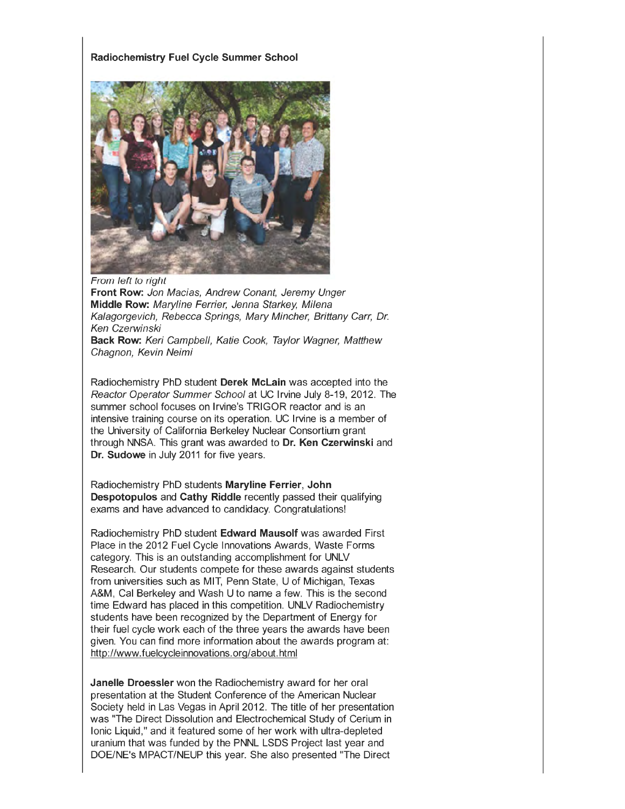#### **Radiochemistry Fuel Cycle Summer School**



From left to right **Front Row:** Jon Macias, Andrew Conant, Jeremy Unger **Middle Row:** Maryline Ferrier, Jenna Starkey, Milena Kalagorgevich, Rebecca Springs, Mary Mincher, Brittany Carr, Dr. Ken Czerwinski **Back Row:** Keri Campbell, Katie Cook, Taylor Wagner, Matthew Chagnon, Kevin Neimi

Radiochemistry PhD student **Derek Mclain** was accepted into the Reactor Operator Summer School at UC Irvine July 8-19, 2012. The summer school focuses on Irvine's TRIGOR reactor and is an intensive training course on its operation. UC Irvine is a member of the University of California Berkeley Nuclear Consortium grant through NNSA. This grant was awarded to **Dr. Ken Czerwinski** and **Dr. Sudowe** in July 2011 for five years.

Radiochemistry PhD students **Maryline Ferrier, John Despotopulos** and **Cathy Riddle** recently passed their qualifying exams and have advanced to candidacy. Congratulations!

Radiochemistry PhD student **Edward Mausolf** was awarded First Place in the 2012 Fuel Cycle Innovations Awards, Waste Forms category. This is an outstanding accomplishment for UNLV Research. Our students compete for these awards against students from universities such as MIT, Penn State, U of Michigan, Texas A&M, Cal Berkeley and Wash U to name a few. This is the second time Edward has placed in this competition. UNLV Radiochemistry students have been recognized by the Department of Energy for their fuel cycle work each of the three years the awards have been given. You can find more information about the awards program at: http://www.fuelcycleinnovations.org/about.html

**Janelle Droessler** won the Radiochemistry award for her oral presentation at the Student Conference of the American Nuclear Society held in Las Vegas in April 2012. The title of her presentation was "The Direct Dissolution and Electrochemical Study of Cerium in Ionic Liquid," and it featured some of her work with ultra-depleted uranium that was funded by the PNNL LSDS Project last year and DOE/NE's MPACT/NEUP this year. She also presented "The Direct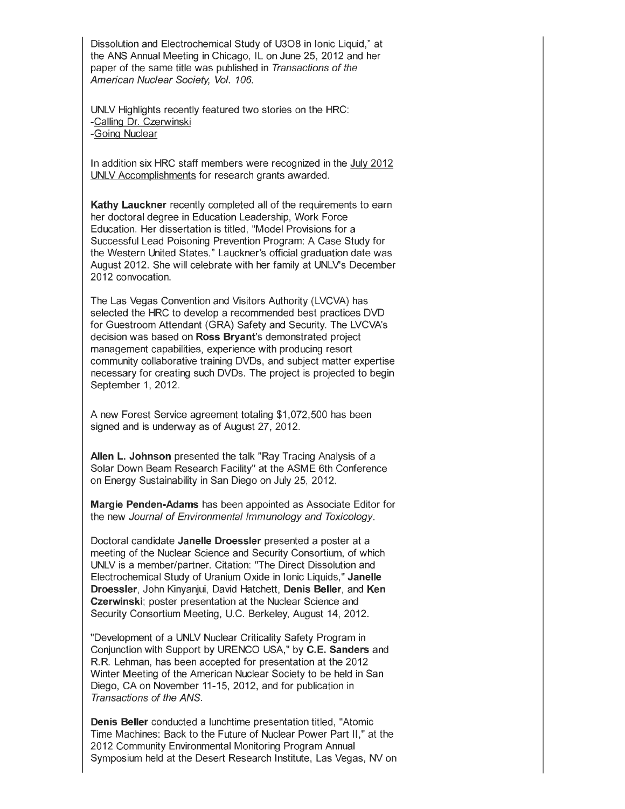Dissolution and Electrochemical Study of U308 in Ionic Liquid," at the ANS Annual Meeting in Chicago, IL on June 25, 2012 and her paper of the same title was published in Transactions of the American Nuclear Society, Vol. 106.

UNLV Highlights recently featured two stories on the HRC: -Calling Dr. Czerwinski -Going Nuclear

In addition six HRC staff members were recognized in the July 2012 UNLV Accomplishments for research grants awarded.

**Kathy Lauckner** recently completed all of the requirements to earn her doctoral degree in Education Leadership, Work Force Education. Her dissertation is titled, "Model Provisions for a Successful Lead Poisoning Prevention Program: A Case Study for the Western United States." Lauckner's official graduation date was August 2012. She will celebrate with her family at UNLV's December 2012 convocation.

The Las Vegas Convention and Visitors Authority (LVCVA) has selected the HRC to develop a recommended best practices DVD for Guestroom Attendant (GRA) Safety and Security. The LVCVA's decision was based on **Ross Bryant's** demonstrated project management capabilities, experience with producing resort community collaborative training DVDs, and subject matter expertise necessary for creating such DVDs. The project is projected to begin September 1, 2012.

A new Forest Service agreement totaling \$1,072,500 has been signed and is underway as of August 27, 2012.

**Allen L. Johnson** presented the talk "Ray Tracing Analysis of a Solar Down Beam Research Facility" at the ASME 6th Conference on Energy Sustainability in San Diego on July 25, 2012.

**Margie Penden-Adams** has been appointed as Associate Editor for the new Journal of Environmental Immunology and Toxicology.

Doctoral candidate **Janelle Droessler** presented a poster at a meeting of the Nuclear Science and Security Consortium, of which UNLV is a member/partner. Citation: "The Direct Dissolution and Electrochemical Study of Uranium Oxide in Ionic Liquids," **Janelle Droessler,** John Kinyanjui, David Hatchett, **Denis Beller,** and **Ken Czerwinski;** poster presentation at the Nuclear Science and Security Consortium Meeting, U.C. Berkeley, August 14, 2012.

"Development of a UNLV Nuclear Criticality Safety Program in Conjunction with Support by URENCO USA," by **C.E. Sanders** and R.R. Lehman, has been accepted for presentation at the 2012 Winter Meeting of the American Nuclear Society to be held in San Diego, CA on November 11-15, 2012, and for publication in Transactions of the ANS.

**Denis Beller** conducted a lunchtime presentation titled, "Atomic Time Machines: Back to the Future of Nuclear Power Part II," at the 2012 Community Environmental Monitoring Program Annual Symposium held at the Desert Research Institute, Las Vegas, NV on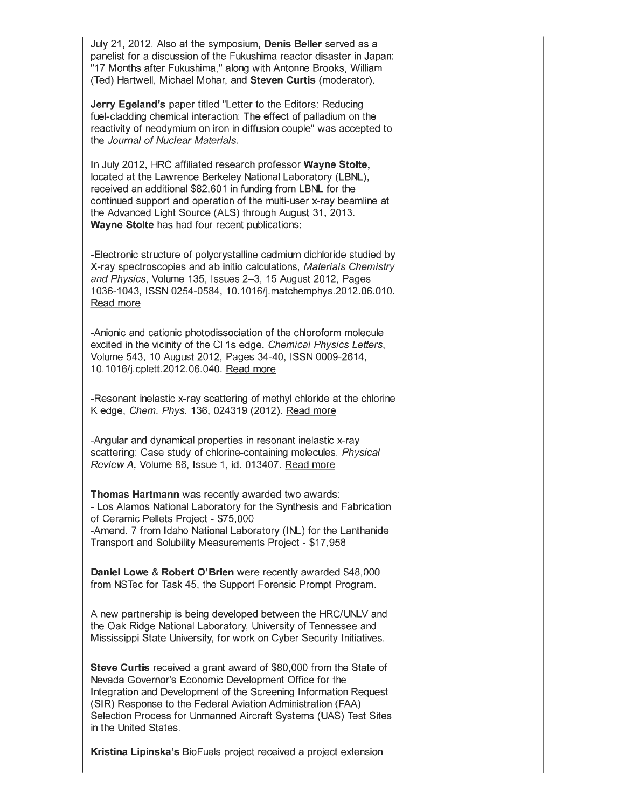July 21, 2012. Also at the symposium, **Denis Beller** served as a panelist for a discussion of the Fukushima reactor disaster in Japan: "17 Months after Fukushima," along with Antonne Brooks, William (Ted) Hartwell, Michael Mohar, and **Steven Curtis** (moderator).

**Jerry Egeland's** paper titled "Letter to the Editors: Reducing fuel-cladding chemical interaction: The effect of palladium on the reactivity of neodymium on iron in diffusion couple" was accepted to the Journal of Nuclear Materials.

In July 2012, HRC affiliated research professor **Wayne Stolte,**  located at the Lawrence Berkeley National Laboratory (LBNL), received an additional \$82,601 in funding from LBNL for the continued support and operation of the multi-user x-ray beamline at the Advanced Light Source (ALS) through August 31, 2013. **Wayne Stolte** has had four recent publications:

-Electronic structure of polycrystalline cadmium dichloride studied by X-ray spectroscopies and ab initio calculations, Materials Chemistry and Physics, Volume 135, Issues 2-3, 15 August 2012, Pages 1036-1043, ISSN 0254-0584, 10.1016/j.matchemphys.2012.06.010. Read more

-Anionic and cationic photodissociation of the chloroform molecule excited in the vicinity of the CI 1s edge, Chemical Physics Letters, Volume 543, 10 August 2012, Pages 34-40, ISSN 0009-2614, 10.1016/j.cplett.2012.06.040. Read more

-Resonant inelastic x-ray scattering of methyl chloride at the chlorine K edge, Chem. Phys. 136, 024319 (2012). Read more

-Angular and dynamical properties in resonant inelastic x-ray scattering: Case study of chlorine-containing molecules. Physical Review A, Volume 86, Issue 1, id. 013407. Read more

**Thomas Hartmann** was recently awarded two awards: - Los Alamos National Laboratory for the Synthesis and Fabrication of Ceramic Pellets Project- \$75,000 -Amend. 7 from Idaho National Laboratory (INL) for the Lanthanide Transport and Solubility Measurements Project- \$17,958

**Daniel Lowe & Robert O'Brien** were recently awarded \$48,000 from NSTec for Task 45, the Support Forensic Prompt Program.

A new partnership is being developed between the HRC/UNLV and the Oak Ridge National Laboratory, University of Tennessee and Mississippi State University, for work on Cyber Security Initiatives.

**Steve Curtis** received a grant award of \$80,000 from the State of Nevada Governor's Economic Development Office for the Integration and Development of the Screening Information Request (SIR) Response to the Federal Aviation Administration (FAA) Selection Process for Unmanned Aircraft Systems (UAS) Test Sites in the United States.

**Kristina Lipinska's** BioFuels project received a project extension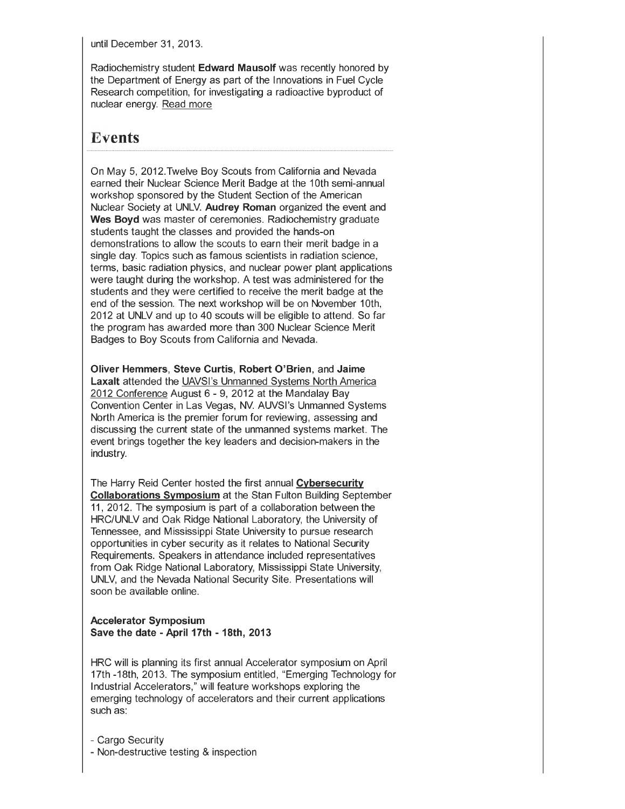until December 31, 2013.

Radiochemistry student **Edward Mausolf** was recently honored by the Department of Energy as part of the Innovations in Fuel Cycle Research competition, for investigating a radioactive byproduct of nuclear energy. Read more

# **Events**

On May 5, 2012.Twelve Boy Scouts from California and Nevada earned their Nuclear Science Merit Badge at the 1Oth semi-annual workshop sponsored by the Student Section of the American Nuclear Society at UNLV. **Audrey Roman** organized the event and **Wes Boyd** was master of ceremonies. Radiochemistry graduate students taught the classes and provided the hands-on demonstrations to allow the scouts to earn their merit badge in a single day. Topics such as famous scientists in radiation science, terms, basic radiation physics, and nuclear power plant applications were taught during the workshop. A test was administered for the students and they were certified to receive the merit badge at the end of the session. The next workshop will be on November 1Oth, 2012 at UNLV and up to 40 scouts will be eligible to attend. So far the program has awarded more than 300 Nuclear Science Merit Badges to Boy Scouts from California and Nevada.

**Oliver Hemmers, Steve Curtis, Robert O'Brien,** and **Jaime Laxalt** attended the UAVSI's Unmanned Systems North America 2012 Conference August 6 - 9, 2012 at the Mandalay Bay Convention Center in Las Vegas, NV. AUVSI's Unmanned Systems North America is the premier forum for reviewing, assessing and discussing the current state of the unmanned systems market. The event brings together the key leaders and decision-makers in the industry.

The Harry Reid Center hosted the first annual **Cybersecurity Collaborations Symposium** at the Stan Fulton Building September 11 , 2012. The symposium is part of a collaboration between the HRC/UNLV and Oak Ridge National Laboratory, the University of Tennessee, and Mississippi State University to pursue research opportunities in cyber security as it relates to National Security Requirements. Speakers in attendance included representatives from Oak Ridge National Laboratory, Mississippi State University, UNLV, and the Nevada National Security Site. Presentations will soon be available online.

#### **Accelerator Symposium Save the date - April 17th - 18th, 2013**

HRC will is planning its first annual Accelerator symposium on April 17th -18th, 2013. The symposium entitled, "Emerging Technology for Industrial Accelerators," will feature workshops exploring the emerging technology of accelerators and their current applications such as:

- Cargo Security - Non-destructive testing & inspection